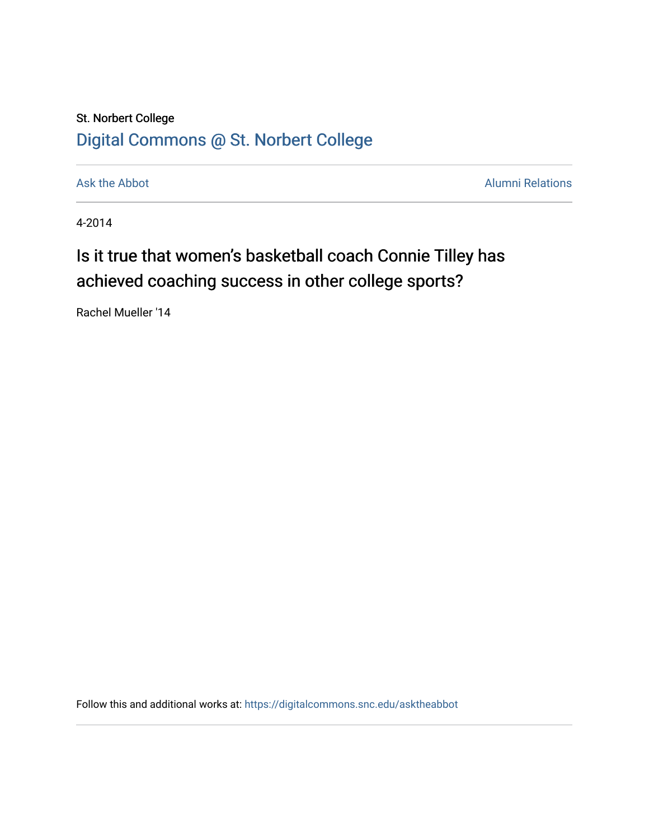## St. Norbert College [Digital Commons @ St. Norbert College](https://digitalcommons.snc.edu/)

[Ask the Abbot](https://digitalcommons.snc.edu/asktheabbot) **Alumni Relations** Ask the Abbot **Alumni Relations** 

4-2014

## Is it true that women's basketball coach Connie Tilley has achieved coaching success in other college sports?

Rachel Mueller '14

Follow this and additional works at: [https://digitalcommons.snc.edu/asktheabbot](https://digitalcommons.snc.edu/asktheabbot?utm_source=digitalcommons.snc.edu%2Fasktheabbot%2F86&utm_medium=PDF&utm_campaign=PDFCoverPages)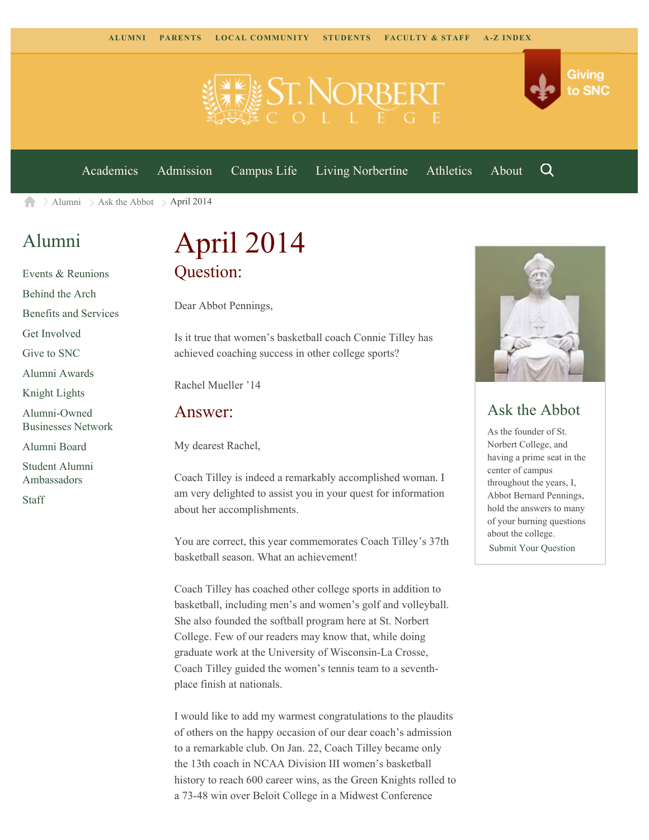

[Academics](https://www.snc.edu/academics) [Admission](https://www.snc.edu/admission) [Campus Life](https://www.snc.edu/campuslife) [Living Norbertine](https://www.snc.edu/livingnorbertine) [Athletics](https://www.snc.edu/athletics) [About](https://www.snc.edu/about)

Q

Giving

to SNC

 $\ge$  [Alumni](https://www.snc.edu/alumni/)  $\ge$  [Ask the Abbot](https://www.snc.edu/alumni/abbot/)  $\ge$  April 2014 合

### [Alumni](https://www.snc.edu/alumni/index.html)

[Events & Reunions](https://www.snc.edu/alumni/event/index.html) [Behind the Arch](https://www.snc.edu/alumni/event/behindthearch/) [Benefits and Services](https://www.snc.edu/alumni/benefits.html) [Get Involved](https://www.snc.edu/alumni/getinvolved.html) [Give to SNC](http://giving.snc.edu/) [Alumni Awards](https://www.snc.edu/alumni/awards/index.html) [Knight Lights](https://www.snc.edu/alumni/knightlights/index.html) [Alumni-Owned](https://www.snc.edu/alumni/directory/index.html) [Businesses Network](https://www.snc.edu/alumni/directory/index.html) [Alumni Board](https://www.snc.edu/alumni/alumniboard.html) [Student Alumni](https://www.snc.edu/alumni/saa.html) [Ambassadors](https://www.snc.edu/alumni/saa.html) [Staff](https://www.snc.edu/alumni/contactus.html)

# April 2014 Question:

Dear Abbot Pennings,

Is it true that women's basketball coach Connie Tilley has achieved coaching success in other college sports?

Rachel Mueller '14

#### Answer:

My dearest Rachel,

Coach Tilley is indeed a remarkably accomplished woman. I am very delighted to assist you in your quest for information about her accomplishments.

You are correct, this year commemorates Coach Tilley's 37th basketball season. What an achievement!

Coach Tilley has coached other college sports in addition to basketball, including men's and women's golf and volleyball. She also founded the softball program here at St. Norbert College. Few of our readers may know that, while doing graduate work at the University of Wisconsin-La Crosse, Coach Tilley guided the women's tennis team to a seventhplace finish at nationals.

I would like to add my warmest congratulations to the plaudits of others on the happy occasion of our dear coach's admission to a remarkable club. On Jan. 22, Coach Tilley became only the 13th coach in NCAA Division III women's basketball history to reach 600 career wins, as the Green Knights rolled to a 73-48 win over Beloit College in a Midwest Conference



### Ask the Abbot

As the founder of St. Norbert College, and having a prime seat in the center of campus throughout the years, I, Abbot Bernard Pennings, hold the answers to many of your burning questions about the college. [Submit Your Question](https://www.snc.edu/alumni/abbot/index.html)